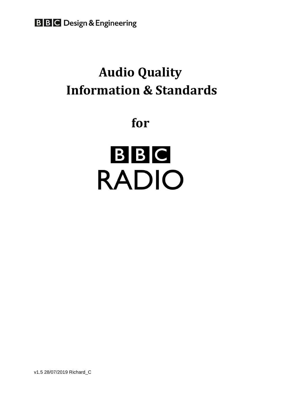# **Audio Quality Information & Standards**

**for**



v1.5 28/07/2019 Richard\_C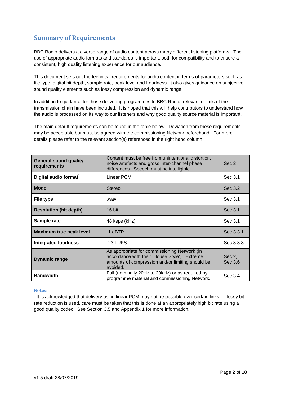# **Summary of Requirements**

BBC Radio delivers a diverse range of audio content across many different listening platforms. The use of appropriate audio formats and standards is important, both for compatibility and to ensure a consistent, high quality listening experience for our audience.

This document sets out the technical requirements for audio content in terms of parameters such as file type, digital bit depth, sample rate, peak level and Loudness. It also gives guidance on subjective sound quality elements such as lossy compression and dynamic range.

In addition to guidance for those delivering programmes to BBC Radio, relevant details of the transmission chain have been included. It is hoped that this will help contributors to understand how the audio is processed on its way to our listeners and why good quality source material is important.

The main default requirements can be found in the table below. Deviation from these requirements may be acceptable but must be agreed with the commissioning Network beforehand. For more details please refer to the relevant section(s) referenced in the right hand column.

| <b>General sound quality</b><br>requirements | Content must be free from unintentional distortion,<br>noise artefacts and gross inter-channel phase<br>differences. Speech must be intelligible.             | Sec 2             |  |
|----------------------------------------------|---------------------------------------------------------------------------------------------------------------------------------------------------------------|-------------------|--|
| Digital audio format <sup>1</sup>            | Linear PCM                                                                                                                                                    | Sec 3.1           |  |
| <b>Mode</b>                                  | <b>Stereo</b>                                                                                                                                                 | Sec 3.2           |  |
| File type                                    | wav.                                                                                                                                                          | Sec 3.1           |  |
| <b>Resolution (bit depth)</b>                | 16 bit                                                                                                                                                        | Sec 3.1           |  |
| Sample rate                                  | 48 ksps (kHz)                                                                                                                                                 | Sec 3.1           |  |
| <b>Maximum true peak level</b>               | $-1$ dBTP                                                                                                                                                     | Sec 3.3.1         |  |
| <b>Integrated loudness</b>                   | $-23$ LUFS                                                                                                                                                    | Sec 3.3.3         |  |
| <b>Dynamic range</b>                         | As appropriate for commissioning Network (in<br>accordance with their 'House Style'). Extreme<br>amounts of compression and/or limiting should be<br>avoided. | Sec 2,<br>Sec 3.6 |  |
| <b>Bandwidth</b>                             | Full (nominally 20Hz to 20kHz) or as required by<br>programme material and commissioning Network.                                                             | Sec 3.4           |  |

#### **Notes:**

 $1$ It is acknowledged that delivery using linear PCM may not be possible over certain links. If lossy bitrate reduction is used, care must be taken that this is done at an appropriately high bit rate using a good quality codec. See Section 3.5 and Appendix 1 for more information.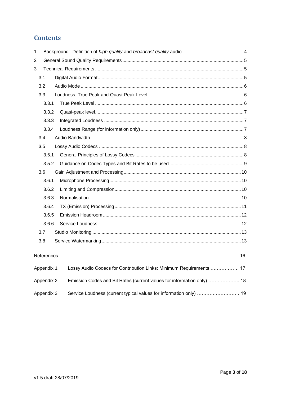# **Contents**

| 1 |            |                                                                        |  |
|---|------------|------------------------------------------------------------------------|--|
| 2 |            |                                                                        |  |
| 3 |            |                                                                        |  |
|   | 3.1        |                                                                        |  |
|   | 3.2        |                                                                        |  |
|   | 3.3        |                                                                        |  |
|   | 3.3.1      |                                                                        |  |
|   | 3.3.2      |                                                                        |  |
|   | 3.3.3      |                                                                        |  |
|   | 3.3.4      |                                                                        |  |
|   | 3.4        |                                                                        |  |
|   | 3.5        |                                                                        |  |
|   | 3.5.1      |                                                                        |  |
|   | 3.5.2      |                                                                        |  |
|   | 3.6        |                                                                        |  |
|   | 3.6.1      |                                                                        |  |
|   | 3.6.2      |                                                                        |  |
|   | 3.6.3      |                                                                        |  |
|   | 3.6.4      |                                                                        |  |
|   | 3.6.5      |                                                                        |  |
|   | 3.6.6      |                                                                        |  |
|   | 3.7        |                                                                        |  |
|   | 3.8        |                                                                        |  |
|   |            |                                                                        |  |
|   |            |                                                                        |  |
|   | Appendix 1 | Lossy Audio Codecs for Contribution Links: Minimum Requirements  17    |  |
|   | Appendix 2 | Emission Codes and Bit Rates (current values for information only)  18 |  |
|   | Appendix 3 | Service Loudness (current typical values for information only)  19     |  |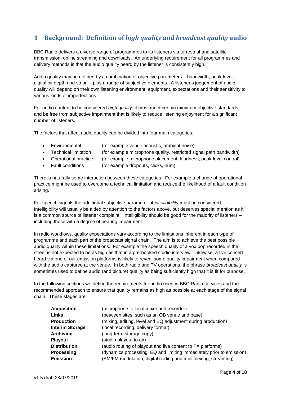# <span id="page-3-0"></span>**1 Background: Definition of** *high quality* **and** *broadcast quality* **audio**

BBC Radio delivers a diverse range of programmes to its listeners via terrestrial and satellite transmission, online streaming and downloads. An underlying requirement for all programmes and delivery methods is that the audio quality heard by the listener is consistently high.

Audio quality may be defined by a combination of objective parameters – bandwidth, peak level, digital bit depth and so on – plus a range of subjective elements. A listener's judgement of audio quality will depend on their own listening environment, equipment, expectations and their sensitivity to various kinds of imperfections.

For audio content to be considered *high quality*, it must meet certain minimum objective standards and be free from subjective impairment that is likely to reduce listening enjoyment for a significant number of listeners.

The factors that affect audio quality can be divided into four main categories:

- Environmental (for example venue acoustic, ambient noise)
- Technical limitation (for example microphone quality, restricted signal path bandwidth)
- Operational practice (for example microphone placement, loudness, peak level control)
- Fault conditions (for example dropouts, clicks, hum)

There is naturally some interaction between these categories: For example a change of operational practice might be used to overcome a technical limitation and reduce the likelihood of a fault condition arising.

For speech signals the additional subjective parameter of *intelligibility* must be considered. Intelligibility will usually be aided by attention to the factors above, but deserves special mention as it is a common source of listener complaint. Intelligibility should be good for the majority of listeners – including those with a degree of hearing impairment.

In radio workflows, quality expectations vary according to the limitations inherent in each type of programme and each part of the broadcast signal chain. The aim is to achieve the best possible audio quality within these limitations. For example the speech quality of a vox pop recorded in the street is not expected to be as high as that in a pre-booked studio interview. Likewise, a live concert heard via one of our emission platforms is likely to reveal some quality impairment when compared with the audio captured at the venue. In both radio and TV operations, the phrase *broadcast quality* is sometimes used to define audio (and picture) quality as being sufficiently high that it is fit for purpose.

In the following sections we define the requirements for audio used in BBC Radio services and the recommended approach to ensure that quality remains as high as possible at each stage of the signal chain. These stages are:

| <b>Acquisition</b>     | (microphone to local mixer and recorder)                             |
|------------------------|----------------------------------------------------------------------|
| Links                  | (between sites, such as an OB venue and base)                        |
| <b>Production</b>      | (mixing, editing, level and EQ adjustment during production)         |
| <b>Interim Storage</b> | (local recording, delivery format)                                   |
| <b>Archiving</b>       | (long-term storage copy)                                             |
| <b>Playout</b>         | (studio playout to air)                                              |
| <b>Distribution</b>    | (audio routing of playout and live content to TX platforms)          |
| Processing             | (dynamics processing, EQ and limiting immediately prior to emission) |
| <b>Emission</b>        | (AM/FM modulation, digital coding and multiplexing, streaming)       |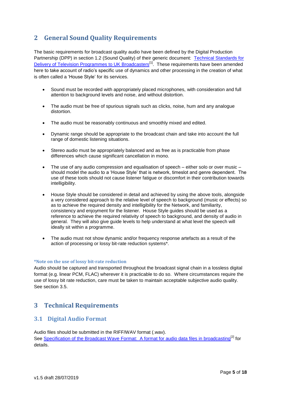# <span id="page-4-0"></span>**2 General Sound Quality Requirements**

The basic requirements for broadcast quality audio have been defined by the Digital Production Partnership (DPP) in section 1.2 (Sound Quality) of their generic document: [Technical Standards for](http://dpp-assets.s3.amazonaws.com/wp-content/uploads/2014/12/Technical-Standards-for-delivery-of-Programmes-to-UK-broadcasters-v4.3-generic.pdf)  [Delivery of Television Programmes](http://dpp-assets.s3.amazonaws.com/wp-content/uploads/2014/12/Technical-Standards-for-delivery-of-Programmes-to-UK-broadcasters-v4.3-generic.pdf) to UK Broadcasters<sup>[1]</sup>. These requirements have been amended here to take account of radio's specific use of dynamics and other processing in the creation of what is often called a 'House Style' for its services.

- Sound must be recorded with appropriately placed microphones, with consideration and full attention to background levels and noise, and without distortion.
- The audio must be free of spurious signals such as clicks, noise, hum and any analogue distortion.
- The audio must be reasonably continuous and smoothly mixed and edited.
- Dynamic range should be appropriate to the broadcast chain and take into account the full range of domestic listening situations.
- Stereo audio must be appropriately balanced and as free as is practicable from phase differences which cause significant cancellation in mono.
- The use of any audio compression and equalisation of speech either solo or over music should model the audio to a 'House Style' that is network, timeslot and genre dependent. The use of these tools should not cause listener fatigue or discomfort in their contribution towards intelligibility.
- House Style should be considered in detail and achieved by using the above tools, alongside a very considered approach to the relative level of speech to background (music or effects) so as to achieve the required density and intelligibility for the Network, and familiarity, consistency and enjoyment for the listener. House Style guides should be used as a reference to achieve the required relativity of speech to background, and density of audio in general. They will also give guide levels to help understand at what level the speech will ideally sit within a programme.
- The audio must not show dynamic and/or frequency response artefacts as a result of the action of processing or lossy bit-rate reduction systems\*.

#### **\*Note on the use of lossy bit-rate reduction**

Audio should be captured and transported throughout the broadcast signal chain in a lossless digital format (e.g. linear PCM, FLAC) wherever it is practicable to do so. Where circumstances require the use of lossy bit rate reduction, care must be taken to maintain acceptable subjective audio quality. See section 3.5.

## <span id="page-4-1"></span>**3 Technical Requirements**

## <span id="page-4-2"></span>**3.1 Digital Audio Format**

Audio files should be submitted in the RIFF/WAV format (.wav). See [Specification of the Broadcast Wave Format: A format for audio data files in broadcasting](http://tech.ebu.ch/docs/tech/tech3285.pdf)<sup>[2]</sup> for details.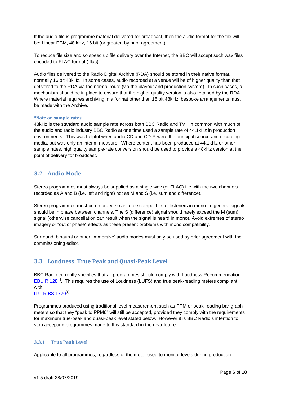If the audio file is programme material delivered for broadcast, then the audio format for the file will be: Linear PCM, 48 kHz, 16 bit (or greater, by prior agreement)

To reduce file size and so speed up file delivery over the Internet, the BBC will accept such wav files encoded to FLAC format (.flac).

Audio files delivered to the Radio Digital Archive (RDA) should be stored in their native format, normally 16 bit 48kHz. In some cases, audio recorded at a venue will be of higher quality than that delivered to the RDA via the normal route (via the playout and production system). In such cases, a mechanism should be in place to ensure that the higher quality version is also retained by the RDA. Where material requires archiving in a format other than 16 bit 48kHz, bespoke arrangements must be made with the Archive.

#### **\*Note on sample rates**

48kHz is the standard audio sample rate across both BBC Radio and TV. In common with much of the audio and radio industry BBC Radio at one time used a sample rate of 44.1kHz in production environments. This was helpful when audio CD and CD-R were the principal source and recording media, but was only an interim measure. Where content has been produced at 44.1kHz or other sample rates, high quality sample-rate conversion should be used to provide a 48kHz version at the point of delivery for broadcast.

## <span id="page-5-0"></span>**3.2 Audio Mode**

Stereo programmes must always be supplied as a single wav (or FLAC) file with the two channels recorded as A and B (i.e. left and right) not as M and S (i.e. sum and difference).

Stereo programmes must be recorded so as to be compatible for listeners in mono. In general signals should be in phase between channels. The S (difference) signal should rarely exceed the M (sum) signal (otherwise cancellation can result when the signal is heard in mono). Avoid extremes of stereo imagery or "out of phase" effects as these present problems with mono compatibility.

Surround, binaural or other 'immersive' audio modes must only be used by prior agreement with the commissioning editor.

## <span id="page-5-1"></span>**3.3 Loudness, True Peak and Quasi-Peak Level**

BBC Radio currently specifies that all programmes should comply with Loudness Recommendation [EBU R 128](https://tech.ebu.ch/loudness)<sup>[5]</sup>. This requires the use of Loudness (LUFS) and true peak-reading meters compliant with

<u>[ITU-R BS.1770](https://www.itu.int/rec/R-REC-BS.1770-4-201510-I/en)</u><sup>[6]</sup>.

Programmes produced using traditional level measurement such as PPM or peak-reading bar-graph meters so that they "peak to PPM6" will still be accepted, provided they comply with the requirements for maximum true-peak and quasi-peak level stated below. However it is BBC Radio's intention to stop accepting programmes made to this standard in the near future.

#### <span id="page-5-2"></span>**3.3.1 True Peak Level**

Applicable to all programmes, regardless of the meter used to monitor levels during production.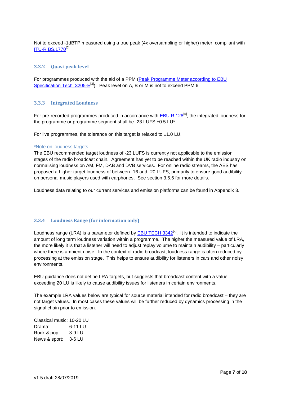Not to exceed -1dBTP measured using a true peak (4x oversampling or higher) meter, compliant with <u>[ITU-R BS.1770](https://www.itu.int/rec/R-REC-BS.1770-4-201510-I/en)</u><sup>[6]</sup>.

#### <span id="page-6-0"></span>**3.3.2 Quasi-peak level**

For programmes produced with the aid of a PPM [\(Peak Programme Meter according to EBU](https://tech.ebu.ch/docs/tech/tech3205.pdf)  Specification Tech.  $3205-E^{[3]}$ : Peak level on A, B or M is not to exceed PPM 6.

#### <span id="page-6-1"></span>**3.3.3 Integrated Loudness**

For pre-recorded programmes produced in accordance with **EBU R 128<sup>[5]</sup>**, the integrated loudness for the programme or programme segment shall be -23 LUFS  $\pm 0.5$  LU<sup>\*</sup>.

For live programmes, the tolerance on this target is relaxed to ±1.0 LU.

#### \*Note on loudness targets

The EBU recommended target loudness of -23 LUFS is currently not applicable to the emission stages of the radio broadcast chain. Agreement has yet to be reached within the UK radio industry on normalising loudness on AM, FM, DAB and DVB services. For online radio streams, the AES has proposed a higher target loudness of between -16 and -20 LUFS, primarily to ensure good audibility on personal music players used with earphones. See section 3.6.6 for more details.

Loudness data relating to our current services and emission platforms can be found in Appendix 3.

#### <span id="page-6-2"></span>**3.3.4 Loudness Range (for information only)**

Loudness range (LRA) is a parameter defined by **EBU TECH 3342<sup>[7]</sup>.** It is intended to indicate the amount of long term loudness variation within a programme. The higher the measured value of LRA, the more likely it is that a listener will need to adjust replay volume to maintain audibility – particularly where there is ambient noise. In the context of radio broadcast, loudness range is often reduced by processing at the emission stage. This helps to ensure audibility for listeners in cars and other noisy environments.

EBU guidance does not define LRA targets, but suggests that broadcast content with a value exceeding 20 LU is likely to cause audibility issues for listeners in certain environments.

The example LRA values below are typical for source material intended for radio broadcast – they are not target values. In most cases these values will be further reduced by dynamics processing in the signal chain prior to emission.

| Classical music: 10-20 LU |         |
|---------------------------|---------|
| Drama:                    | 6-11 LU |
| Rock & pop:               | 3-9 LU  |
| News & sport:             | 3-6 LU  |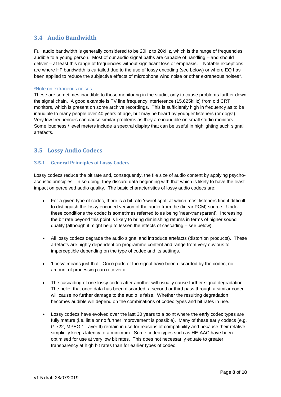## <span id="page-7-0"></span>**3.4 Audio Bandwidth**

Full audio bandwidth is generally considered to be 20Hz to 20kHz, which is the range of frequencies audible to a young person. Most of our audio signal paths are capable of handling – and should deliver – at least this range of frequencies without significant loss or emphasis. Notable exceptions are where HF bandwidth is curtailed due to the use of lossy encoding (see below) or where EQ has been applied to reduce the subjective effects of microphone wind noise or other extraneous noises\*.

#### \*Note on extraneous noises

These are sometimes inaudible to those monitoring in the studio, only to cause problems further down the signal chain. A good example is TV line frequency interference (15.625kHz) from old CRT monitors, which is present on some archive recordings. This is sufficiently high in frequency as to be inaudible to many people over 40 years of age, but may be heard by younger listeners (or dogs!). Very low frequencies can cause similar problems as they are inaudible on small studio monitors. Some loudness / level meters include a spectral display that can be useful in highlighting such signal artefacts.

## <span id="page-7-1"></span>**3.5 Lossy Audio Codecs**

#### <span id="page-7-2"></span>**3.5.1 General Principles of Lossy Codecs**

Lossy codecs reduce the bit rate and, consequently, the file size of audio content by applying psychoacoustic principles. In so doing, they discard data beginning with that which is likely to have the least impact on perceived audio quality. The basic characteristics of lossy audio codecs are:

- For a given type of codec, there is a bit rate 'sweet spot' at which most listeners find it difficult to distinguish the lossy encoded version of the audio from the (linear PCM) source. Under these conditions the codec is sometimes referred to as being 'near-transparent'. Increasing the bit rate beyond this point is likely to bring diminishing returns in terms of higher sound quality (although it might help to lessen the effects of cascading – see below).
- All lossy codecs degrade the audio signal and introduce artefacts (distortion products). These artefacts are highly dependent on programme content and range from very obvious to imperceptible depending on the type of codec and its settings.
- 'Lossy' means just that: Once parts of the signal have been discarded by the codec, no amount of processing can recover it.
- The cascading of one lossy codec after another will usually cause further signal degradation. The belief that once data has been discarded, a second or third pass through a similar codec will cause no further damage to the audio is false. Whether the resulting degradation becomes audible will depend on the combinations of codec types and bit rates in use.
- Lossy codecs have evolved over the last 30 years to a point where the early codec types are fully mature (i.e. little or no further improvement is possible). Many of these early codecs (e.g. G.722, MPEG 1 Layer II) remain in use for reasons of compatibility and because their relative simplicity keeps latency to a minimum. Some codec types such as HE-AAC have been optimised for use at very low bit rates. This does not necessarily equate to greater transparency at high bit rates than for earlier types of codec.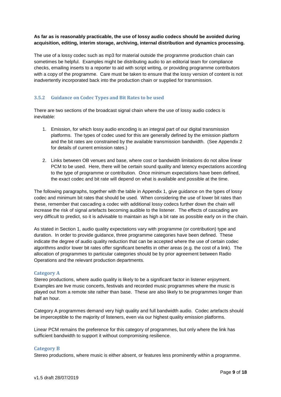#### **As far as is reasonably practicable, the use of lossy audio codecs should be avoided during acquisition, editing, interim storage, archiving, internal distribution and dynamics processing.**

The use of a lossy codec such as mp3 for material outside the programme production chain can sometimes be helpful. Examples might be distributing audio to an editorial team for compliance checks, emailing inserts to a reporter to aid with script writing, or providing programme contributors with a copy of the programme. Care must be taken to ensure that the lossy version of content is not inadvertently incorporated back into the production chain or supplied for transmission.

#### <span id="page-8-0"></span>**3.5.2 Guidance on Codec Types and Bit Rates to be used**

There are two sections of the broadcast signal chain where the use of lossy audio codecs is inevitable:

- 1. Emission, for which lossy audio encoding is an integral part of our digital transmission platforms. The types of codec used for this are generally defined by the emission platform and the bit rates are constrained by the available transmission bandwidth. (See Appendix 2 for details of current emission rates.)
- 2. Links between OB venues and base, where cost or bandwidth limitations do not allow linear PCM to be used. Here, there will be certain sound quality and latency expectations according to the type of programme or contribution. Once minimum expectations have been defined, the exact codec and bit rate will depend on what is available and possible at the time.

The following paragraphs, together with the table in Appendix 1, give guidance on the types of lossy codec and minimum bit rates that should be used. When considering the use of lower bit rates than these, remember that cascading a codec with additional lossy codecs further down the chain will increase the risk of signal artefacts becoming audible to the listener. The effects of cascading are very difficult to predict, so it is advisable to maintain as high a bit rate as possible early on in the chain.

As stated in Section 1, audio quality expectations vary with programme (or contribution) type and duration. In order to provide guidance, three programme categories have been defined. These indicate the degree of audio quality reduction that can be accepted where the use of certain codec algorithms and/or lower bit rates offer significant benefits in other areas (e.g. the cost of a link). The allocation of programmes to particular categories should be by prior agreement between Radio Operations and the relevant production departments.

#### **Category A**

Stereo productions, where audio quality is likely to be a significant factor in listener enjoyment. Examples are live music concerts, festivals and recorded music programmes where the music is played out from a remote site rather than base. These are also likely to be programmes longer than half an hour.

Category A programmes demand very high quality and full bandwidth audio. Codec artefacts should be imperceptible to the majority of listeners, even via our highest quality emission platforms.

Linear PCM remains the preference for this category of programmes, but only where the link has sufficient bandwidth to support it without compromising resilience.

#### **Category B**

Stereo productions, where music is either absent, or features less prominently within a programme.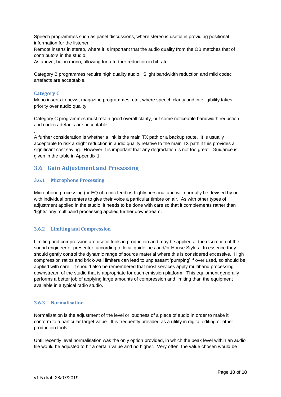Speech programmes such as panel discussions, where stereo is useful in providing positional information for the listener.

Remote inserts in stereo, where it is important that the audio quality from the OB matches that of contributors in the studio.

As above, but in mono, allowing for a further reduction in bit rate.

Category B programmes require high quality audio. Slight bandwidth reduction and mild codec artefacts are acceptable.

#### **Category C**

.

Mono inserts to news, magazine programmes, etc., where speech clarity and intelligibility takes priority over audio quality

Category C programmes must retain good overall clarity, but some noticeable bandwidth reduction and codec artefacts are acceptable.

A further consideration is whether a link is the main TX path or a backup route. It is usually acceptable to risk a slight reduction in audio quality relative to the main TX path if this provides a significant cost saving. However it is important that any degradation is not too great. Guidance is given in the table in Appendix 1.

## <span id="page-9-0"></span>**3.6 Gain Adjustment and Processing**

#### <span id="page-9-1"></span>**3.6.1 Microphone Processing**

Microphone processing (or EQ of a mic feed) is highly personal and will normally be devised by or with individual presenters to give their voice a particular timbre on air. As with other types of adjustment applied in the studio, it needs to be done with care so that it complements rather than 'fights' any multiband processing applied further downstream.

#### <span id="page-9-2"></span>**3.6.2 Limiting and Compression**

Limiting and compression are useful tools in production and may be applied at the discretion of the sound engineer or presenter, according to local guidelines and/or House Styles. In essence they should gently control the dynamic range of source material where this is considered excessive. High compression ratios and brick-wall limiters can lead to unpleasant 'pumping' if over used, so should be applied with care. It should also be remembered that most services apply multiband processing downstream of the studio that is appropriate for each emission platform. This equipment generally performs a better job of applying large amounts of compression and limiting than the equipment available in a typical radio studio.

#### <span id="page-9-3"></span>**3.6.3 Normalisation**

Normalisation is the adjustment of the level or loudness of a piece of audio in order to make it conform to a particular target value. It is frequently provided as a utility in digital editing or other production tools.

Until recently level normalisation was the only option provided, in which the peak level within an audio file would be adjusted to hit a certain value and no higher. Very often, the value chosen would be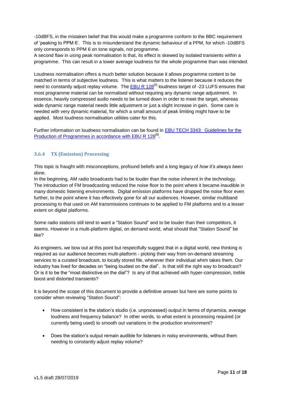-10dBFS, in the mistaken belief that this would make a programme conform to the BBC requirement of 'peaking to PPM 6'. This is to misunderstand the dynamic behaviour of a PPM, for which -10dBFS only corresponds to PPM 6 on tone signals, not programme.

A second flaw in using peak normalisation is that, its effect is skewed by isolated transients within a programme. This can result in a lower average loudness for the whole programme than was intended.

Loudness normalisation offers a much better solution because it allows programme content to be matched in terms of subjective loudness. This is what matters to the listener because it reduces the need to constantly adjust replay volume. The [EBU R 128](https://tech.ebu.ch/loudness)<sup>[5]</sup> loudness target of -23 LUFS ensures that most programme material can be normalised without requiring any dynamic range adjustment. In essence, heavily compressed audio needs to be turned down in order to meet the target, whereas wide dynamic range material needs little adjustment or just a slight increase in gain. Some care is needed with very dynamic material, for which a small amount of peak limiting might have to be applied. Most loudness normalisation utilities cater for this.

Further information on loudness normalisation can be found in [EBU TECH 3343: Guidelines for the](https://tech.ebu.ch/publications/tech3343)  [Production of Programmes in accordance with EBU R 128](https://tech.ebu.ch/publications/tech3343)<sup>[8]</sup>.

#### <span id="page-10-0"></span>**3.6.4 TX (Emission) Processing**

This topic is fraught with misconceptions, profound beliefs and a long legacy of *how it's always been done*.

In the beginning, AM radio broadcasts had to be louder than the noise inherent in the technology. The introduction of FM broadcasting reduced the noise floor to the point where it became inaudible in many domestic listening environments. Digital emission platforms have dropped the noise floor even further, to the point where it has effectively gone for all our audiences. However, similar multiband processing to that used on AM transmissions continues to be applied to FM platforms and to a lesser extent on digital platforms.

Some radio stations still tend to want a "Station Sound" and to be louder than their competitors, it seems. However in a multi-platform digital, on demand world, what should that "Station Sound" be like?

As engineers, we bow out at this point but respectfully suggest that in a digital world, new thinking is required as our audience becomes multi-platform - picking their way from on-demand streaming services to a curated broadcast, to locally stored file, wherever their individual whim takes them. Our industry has lived for decades on "being loudest on the dial". Is that still the right way to broadcast? Or is it to be the "most distinctive on the dial"? Is any of that achieved with hyper-compression, treble boost and distorted transients?

It is beyond the scope of this document to provide a definitive answer but here are some points to consider when reviewing "Station Sound":

- How consistent is the station's studio (i.e. unprocessed) output in terms of dynamics, average loudness and frequency balance? In other words, to what extent is processing required (or currently being used) to smooth out variations in the production environment?
- Does the station's output remain audible for listeners in noisy environments, without them needing to constantly adjust replay volume?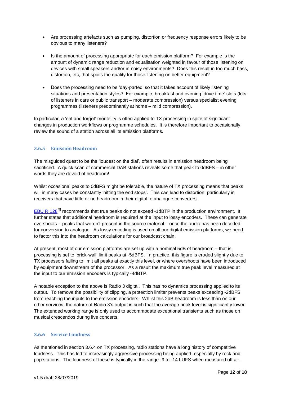- Are processing artefacts such as pumping, distortion or frequency response errors likely to be obvious to many listeners?
- Is the amount of processing appropriate for each emission platform? For example is the amount of dynamic range reduction and equalisation weighted in favour of those listening on devices with small speakers and/or in noisy environments? Does this result in too much bass, distortion, etc, that spoils the quality for those listening on better equipment?
- Does the processing need to be 'day-parted' so that it takes account of likely listening situations and presentation styles? For example, breakfast and evening 'drive time' slots (lots of listeners in cars or public transport – moderate compression) versus specialist evening programmes (listeners predominantly at home – mild compression).

In particular, a 'set and forget' mentality is often applied to TX processing in spite of significant changes in production workflows or programme schedules. It is therefore important to occasionally review the sound of a station across all its emission platforms.

#### <span id="page-11-0"></span>**3.6.5 Emission Headroom**

The misguided quest to be the 'loudest on the dial', often results in emission headroom being sacrificed. A quick scan of commercial DAB stations reveals some that peak to 0dBFS – in other words they are devoid of headroom!

Whilst occasional peaks to 0dBFS might be tolerable, the nature of TX processing means that peaks will in many cases be constantly 'hitting the end stops'. This can lead to distortion, particularly in receivers that have little or no headroom in their digital to analogue converters.

[EBU R 128](https://tech.ebu.ch/loudness)<sup>[5]</sup> recommends that true peaks do not exceed -1dBTP in the production environment. It further states that additional headroom is required at the input to lossy encoders. These can generate overshoots – peaks that weren't present in the source material – once the audio has been decoded for conversion to analogue. As lossy encoding is used on all our digital emission platforms, we need to factor this into the headroom calculations for our broadcast chain.

At present, most of our emission platforms are set up with a nominal 5dB of headroom – that is, processing is set to 'brick-wall' limit peaks at -5dBFS. In practice, this figure is eroded slightly due to TX processors failing to limit all peaks at exactly this level, or where overshoots have been introduced by equipment downstream of the processor. As a result the maximum true peak level measured at the input to our emission encoders is typically -4dBTP.

A notable exception to the above is Radio 3 digital. This has no dynamics processing applied to its output. To remove the possibility of clipping, a protection limiter prevents peaks exceeding -2dBFS from reaching the inputs to the emission encoders. Whilst this 2dB headroom is less than on our other services, the nature of Radio 3's output is such that the average peak level is significantly lower. The extended working range is only used to accommodate exceptional transients such as those on musical crescendos during live concerts.

#### <span id="page-11-1"></span>**3.6.6 Service Loudness**

As mentioned in section 3.6.4 on TX processing, radio stations have a long history of competitive loudness. This has led to increasingly aggressive processing being applied, especially by rock and pop stations. The loudness of these is typically in the range -9 to -14 LUFS when measured off air.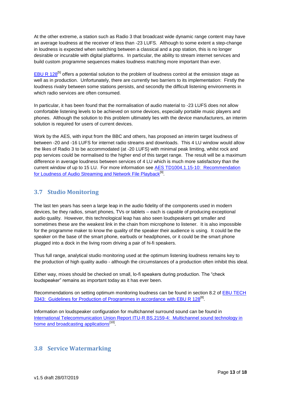At the other extreme, a station such as Radio 3 that broadcast wide dynamic range content may have an average loudness at the receiver of less than -23 LUFS. Although to some extent a step-change in loudness is expected when switching between a classical and a pop station, this is no longer desirable or incurable with digital platforms. In particular, the ability to stream internet services and build custom programme sequences makes loudness matching more important than ever.

EBU R  $128^{5}$  offers a potential solution to the problem of loudness control at the emission stage as well as in production. Unfortunately, there are currently two barriers to its implementation: Firstly the loudness rivalry between some stations persists, and secondly the difficult listening environments in which radio services are often consumed.

In particular, it has been found that the normalisation of audio material to -23 LUFS does not allow comfortable listening levels to be achieved on some devices, especially portable music players and phones. Although the solution to this problem ultimately lies with the device manufacturers, an interim solution is required for users of current devices.

Work by the AES, with input from the BBC and others, has proposed an interim target loudness of between -20 and -16 LUFS for internet radio streams and downloads. This 4 LU window would allow the likes of Radio 3 to be accommodated (at -20 LUFS) with minimal peak limiting, whilst rock and pop services could be normalised to the higher end of this target range. The result will be a maximum difference in average loudness between services of 4 LU which is much more satisfactory than the current window of up to 15 LU. For more information see [AES TD1004.1.15-10: Recommendation](http://www.aes.org/technical/documents/AESTD1004_1_15_10.pdf)  [for Loudness of Audio Streaming and Network File Playback](http://www.aes.org/technical/documents/AESTD1004_1_15_10.pdf)<sup>[9]</sup>.

## <span id="page-12-0"></span>**3.7 Studio Monitoring**

The last ten years has seen a large leap in the audio fidelity of the components used in modern devices, be they radios, smart phones, TVs or tablets – each is capable of producing exceptional audio quality. However, this technological leap has also seen loudspeakers get smaller and sometimes these are the weakest link in the chain from microphone to listener. It is also impossible for the programme maker to know the quality of the speaker their audience is using. It could be the speaker on the base of the smart phone, earbuds or headphones, or it could be the smart phone plugged into a dock in the living room driving a pair of hi-fi speakers.

Thus full range, analytical studio monitoring used at the optimum listening loudness remains key to the production of high quality audio - although the circumstances of a production often inhibit this ideal.

Either way, mixes should be checked on small, lo-fi speakers during production. The "check loudspeaker" remains as important today as it has ever been.

Recommendations on setting optimum monitoring loudness can be found in section 8.2 of [EBU TECH](https://tech.ebu.ch/publications/tech3343)  [3343: Guidelines for Production of Programmes in accordance with EBU R 128](https://tech.ebu.ch/publications/tech3343)<sup>[8]</sup>.

Information on loudspeaker configuration for multichannel surround sound can be found in [International Telecommunication Union Report ITU-R BS.2159-4: Multichannel sound technology in](https://www.itu.int/dms_pub/itu-r/opb/rep/R-REP-BS.2159-4-2012-PDF-E.pdf)  [home and broadcasting applications](https://www.itu.int/dms_pub/itu-r/opb/rep/R-REP-BS.2159-4-2012-PDF-E.pdf)<sup>[10]</sup>

## <span id="page-12-1"></span>**3.8 Service Watermarking**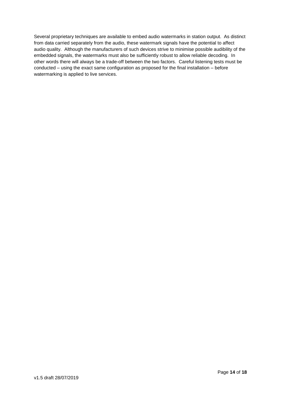Several proprietary techniques are available to embed audio watermarks in station output. As distinct from data carried separately from the audio, these watermark signals have the potential to affect audio quality. Although the manufacturers of such devices strive to minimise possible audibility of the embedded signals, the watermarks must also be sufficiently robust to allow reliable decoding. In other words there will always be a trade-off between the two factors. Careful listening tests must be conducted – using the exact same configuration as proposed for the final installation – before watermarking is applied to live services.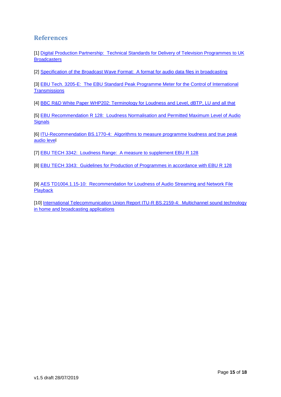## **References**

[1] [Digital Production Partnership: Technical Standards for Delivery of Television Programmes](http://dpp-assets.s3.amazonaws.com/wp-content/uploads/2014/12/Technical-Standards-for-delivery-of-Programmes-to-UK-broadcasters-v4.3-generic.pdf) to UK **[Broadcasters](http://dpp-assets.s3.amazonaws.com/wp-content/uploads/2014/12/Technical-Standards-for-delivery-of-Programmes-to-UK-broadcasters-v4.3-generic.pdf)** 

[2] Specification of the Broadcast Wave Format: A format for audio data files in broadcasting

[3] EBU Tech. 3205-E: The EBU Standard Peak Programme Meter for the Control of International **[Transmissions](https://tech.ebu.ch/docs/tech/tech3205.pdf)** 

[4] [BBC R&D White Paper WHP202: Terminology for Loudness and Level, dBTP, LU and all that](http://www.bbc.co.uk/rd/publications/whitepaper202)

[5] [EBU Recommendation R 128: Loudness Normalisation and Permitted Maximum Level of Audio](https://tech.ebu.ch/docs/r/r128-2014.pdf)  **[Signals](https://tech.ebu.ch/docs/r/r128-2014.pdf)** 

[6] [ITU-Recommendation BS.1770-4: Algorithms to measure programme loudness and true peak](https://www.itu.int/rec/R-REC-BS.1770-4-201510-I/en)  [audio level](https://www.itu.int/rec/R-REC-BS.1770-4-201510-I/en)

[7] [EBU TECH 3342: Loudness Range: A measure to supplement EBU R 128](https://tech.ebu.ch/publications/tech3342)

[8] [EBU TECH 3343: Guidelines for Production of Programmes in accordance with EBU R 128](https://tech.ebu.ch/publications/tech3343)

[9] [AES TD1004.1.15-10: Recommendation for Loudness of Audio Streaming and Network File](http://www.aes.org/technical/documents/AESTD1004_1_15_10.pdf) [Playback](http://www.aes.org/technical/documents/AESTD1004_1_15_10.pdf)

[10] [International Telecommunication Union Report ITU-R BS.2159-4: Multichannel sound technology](https://www.itu.int/dms_pub/itu-r/opb/rep/R-REP-BS.2159-4-2012-PDF-E.pdf)  [in home and broadcasting applications](https://www.itu.int/dms_pub/itu-r/opb/rep/R-REP-BS.2159-4-2012-PDF-E.pdf)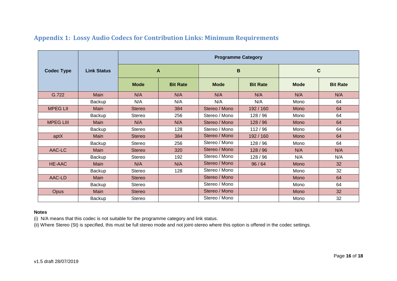|                   |                    | <b>Programme Category</b> |                 |               |                 |             |                 |  |  |  |  |
|-------------------|--------------------|---------------------------|-----------------|---------------|-----------------|-------------|-----------------|--|--|--|--|
| <b>Codec Type</b> | <b>Link Status</b> |                           | A               |               | $\mathbf B$     | $\mathbf c$ |                 |  |  |  |  |
|                   |                    | <b>Mode</b>               | <b>Bit Rate</b> |               | <b>Bit Rate</b> | <b>Mode</b> | <b>Bit Rate</b> |  |  |  |  |
| G.722             | Main               | N/A                       | N/A             | N/A           | N/A             | N/A         | N/A             |  |  |  |  |
|                   | Backup             | N/A                       | N/A             | N/A           | N/A             | Mono        | 64              |  |  |  |  |
| <b>MPEG LII</b>   | <b>Main</b>        | <b>Stereo</b>             | 384             | Stereo / Mono | 192 / 160       | Mono        | 64              |  |  |  |  |
|                   | Backup             | Stereo                    | 256             | Stereo / Mono | 128/96          | Mono        | 64              |  |  |  |  |
| <b>MPEG LIII</b>  | Main               | N/A                       | N/A             | Stereo / Mono | 128/96          | Mono        | 64              |  |  |  |  |
|                   | <b>Backup</b>      | Stereo                    | 128             | Stereo / Mono | 112/96          | Mono        | 64              |  |  |  |  |
| aptX              | Main               | <b>Stereo</b>             | 384             | Stereo / Mono | 192 / 160       | <b>Mono</b> | 64              |  |  |  |  |
|                   | Backup             | Stereo                    | 256             | Stereo / Mono | 128 / 96        | Mono        | 64              |  |  |  |  |
| AAC-LC            | Main               | <b>Stereo</b>             | 320             | Stereo / Mono | 128/96          | N/A         | N/A             |  |  |  |  |
|                   | Backup             | Stereo                    | 192             | Stereo / Mono | 128/96          | N/A         | N/A             |  |  |  |  |
| <b>HE-AAC</b>     | Main               | N/A                       | N/A             | Stereo / Mono | 96/64           | Mono        | 32              |  |  |  |  |
|                   | Backup             | Stereo                    | 128             | Stereo / Mono |                 |             | 32              |  |  |  |  |
| AAC-LD            | Main               | <b>Stereo</b>             |                 | Stereo / Mono |                 | <b>Mono</b> | 64              |  |  |  |  |
|                   | Backup             | <b>Stereo</b>             |                 | Stereo / Mono |                 | Mono        | 64              |  |  |  |  |
| <b>Opus</b>       | Main               | <b>Stereo</b>             |                 | Stereo / Mono |                 | Mono        | 32              |  |  |  |  |
|                   | Backup             | Stereo                    |                 | Stereo / Mono |                 | Mono        | 32              |  |  |  |  |

# **Appendix 1: Lossy Audio Codecs for Contribution Links: Minimum Requirements**

#### **Notes**

(i) N/A means that this codec is not suitable for the programme category and link status.

(ii) Where Stereo (St) is specified, this must be full stereo mode and not joint-stereo where this option is offered in the codec settings.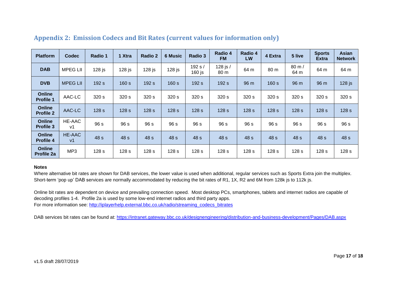| <b>Platform</b>                   | <b>Codec</b>                    | Radio 1          | 1 Xtra           | Radio 2          | <b>6 Music</b>   | Radio 3             | Radio 4<br><b>FM</b>        | Radio 4<br><b>LW</b> | 4 Extra          | 5 live                 | <b>Sports</b><br><b>Extra</b> | <b>Asian</b><br><b>Network</b> |
|-----------------------------------|---------------------------------|------------------|------------------|------------------|------------------|---------------------|-----------------------------|----------------------|------------------|------------------------|-------------------------------|--------------------------------|
| <b>DAB</b>                        | <b>MPEG LII</b>                 | $128$ js         | $128$ js         | $128$ js         | $128$ js         | 192 s /<br>$160$ js | 128 js /<br>80 <sub>m</sub> | 64 m                 | 80 m             | $80 \text{ m}$<br>64 m | 64 m                          | 64 m                           |
| <b>DVB</b>                        | <b>MPEG LII</b>                 | 192 s            | 160 s            | 192 s            | 160 s            | 192 s               | 192 s                       | 96 m                 | 160 s            | 96 m                   | 96 m                          | $128$ js                       |
| <b>Online</b><br><b>Profile 1</b> | AAC-LC                          | 320 s            | 320 s            | 320 s            | 320 s            | 320 s               | 320 s                       | 320 s                | 320 s            | 320 s                  | 320 s                         | 320 s                          |
| <b>Online</b><br><b>Profile 2</b> | AAC-LC                          | 128 <sub>s</sub> | 128 <sub>s</sub> | 128 <sub>s</sub> | 128 <sub>s</sub> | 128 <sub>s</sub>    | 128 <sub>s</sub>            | 128 <sub>s</sub>     | 128 <sub>s</sub> | 128 <sub>s</sub>       | 128 <sub>s</sub>              | 128 <sub>s</sub>               |
| <b>Online</b><br><b>Profile 3</b> | HE-AAC<br>v1                    | 96 s             | 96 s             | 96 s             | 96 s             | 96 s                | 96 s                        | 96 s                 | 96 s             | 96 s                   | 96 s                          | 96 s                           |
| <b>Online</b><br>Profile 4        | <b>HE-AAC</b><br>v <sub>1</sub> | 48 s             | 48 s             | 48 s             | 48 s             | 48 s                | 48 s                        | 48 s                 | 48 s             | 48 <sub>s</sub>        | 48 s                          | 48 s                           |
| <b>Online</b><br>Profile 2a       | MP <sub>3</sub>                 | 128 <sub>s</sub> | 128 <sub>s</sub> | 128 <sub>s</sub> | 128 <sub>s</sub> | 128 <sub>s</sub>    | 128 <sub>s</sub>            | 128 <sub>s</sub>     | 128 <sub>s</sub> | 128 <sub>s</sub>       | 128 s                         | 128 <sub>s</sub>               |

# **Appendix 2: Emission Codecs and Bit Rates (current values for information only)**

#### **Notes**

Where alternative bit rates are shown for DAB services, the lower value is used when additional, regular services such as Sports Extra join the multiplex. Short-term 'pop up' DAB services are normally accommodated by reducing the bit rates of R1, 1X, R2 and 6M from 128k js to 112k js.

Online bit rates are dependent on device and prevailing connection speed. Most desktop PCs, smartphones, tablets and internet radios are capable of decoding profiles 1-4. Profile 2a is used by some low-end internet radios and third party apps. For more information see: [http://iplayerhelp.external.bbc.co.uk/radio/streaming\\_codecs\\_bitrates](http://iplayerhelp.external.bbc.co.uk/radio/streaming_codecs_bitrates)

DAB services bit rates can be found at: <https://intranet.gateway.bbc.co.uk/designengineering/distribution-and-business-development/Pages/DAB.aspx>